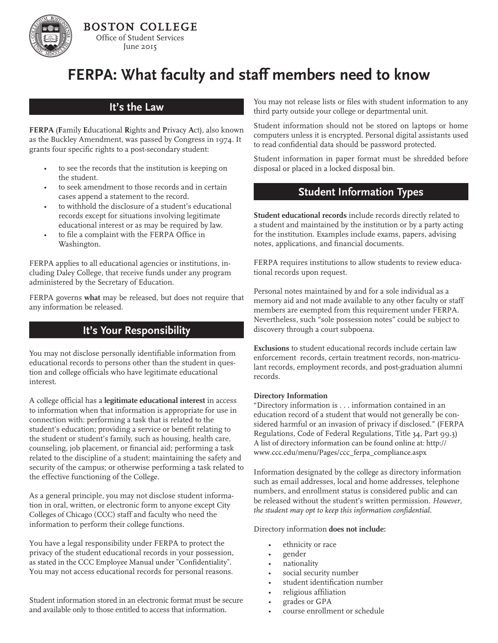# **FERPA: What faculty and staff members need to know**

### **It's the Law**

**FERPA** (**F**amily **E**ducational **R**ights and **P**rivacy **A**ct), also known as the Buckley Amendment, was passed by Congress in 1974. It grants four specific rights to a post-secondary student:

- to see the records that the institution is keeping on the student.
- to seek amendment to those records and in certain cases append a statement to the record.
- to withhold the disclosure of a student's educational records except for situations involving legitimate educational interest or as may be required by law.
- to file a complaint with the FERPA Office in Washington.

FERPA applies to all educational agencies or institutions, including Daley College, that receive funds under any program administered by the Secretary of Education.

FERPA governs **what** may be released, but does not require that any information be released.

## **It's Your Responsibility**

You may not disclose personally identifiable information from educational records to persons other than the student in question and college officials who have legitimate educational interest.

A college official has a **legitimate educational interest** in access to information when that information is appropriate for use in connection with: performing a task that is related to the student's education; providing a service or benefit relating to the student or student's family, such as housing, health care, counseling, job placement, or financial aid; performing a task related to the discipline of a student; maintaining the safety and security of the campus; or otherwise performing a task related to the effective functioning of the College.

As a general principle, you may not disclose student information in oral, written, or electronic form to anyone except City Colleges of Chicago (CCC) staff and faculty who need the information to perform their college functions.

You have a legal responsibility under FERPA to protect the privacy of the student educational records in your possession, as stated in the CCC Employee Manual under "Confidentiality". You may not access educational records for personal reasons.

Student information stored in an electronic format must be secure and available only to those entitled to access that information.

You may not release lists or files with student information to any third party outside your college or departmental unit.

Student information should not be stored on laptops or home computers unless it is encrypted. Personal digital assistants used to read confidential data should be password protected.

Student information in paper format must be shredded before disposal or placed in a locked disposal bin.

# **Student Information Types**

**Student educational records** include records directly related to a student and maintained by the institution or by a party acting for the institution. Examples include exams, papers, advising notes, applications, and financial documents.

FERPA requires institutions to allow students to review educational records upon request.

Personal notes maintained by and for a sole individual as a memory aid and not made available to any other faculty or staff members are exempted from this requirement under FERPA. Nevertheless, such "sole possession notes" could be subject to discovery through a court subpoena.

**Exclusions** to student educational records include certain law enforcement records, certain treatment records, non-matriculant records, employment records, and post-graduation alumni records.

#### **Directory Information**

"Directory information is . . . information contained in an education record of a student that would not generally be considered harmful or an invasion of privacy if disclosed." (FERPA Regulations, Code of Federal Regulations, Title 34, Part 99.3) A list of directory information can be found online at: http:// www.ccc.edu/menu/Pages/ccc\_ferpa\_compliance.aspx

Information designated by the college as directory information such as email addresses, local and home addresses, telephone numbers, and enrollment status is considered public and can be released without the student's written permission. *However, the student may opt to keep this information confidential*.

Directory information **does not include:**

- ethnicity or race
- gender
- nationality
- social security number
- student identification number
- religious affiliation
- grades or GPA
- course enrollment or schedule